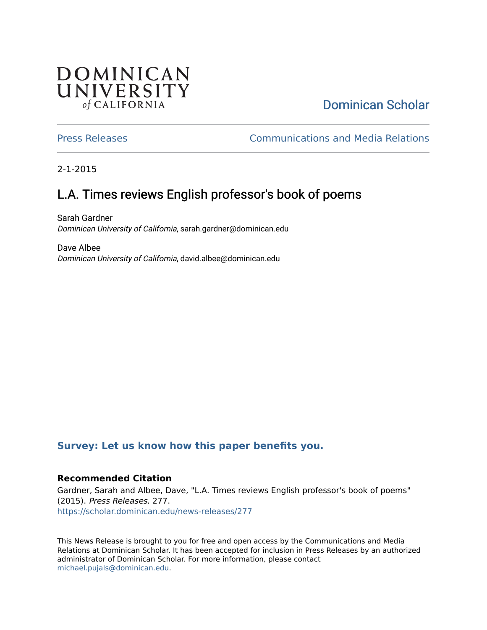## **DOMINICAN** UNIVERSITY of CALIFORNIA

## [Dominican Scholar](https://scholar.dominican.edu/)

[Press Releases](https://scholar.dominican.edu/news-releases) [Communications and Media Relations](https://scholar.dominican.edu/communications-media) 

2-1-2015

# L.A. Times reviews English professor's book of poems

Sarah Gardner Dominican University of California, sarah.gardner@dominican.edu

Dave Albee Dominican University of California, david.albee@dominican.edu

## **[Survey: Let us know how this paper benefits you.](https://dominican.libwizard.com/dominican-scholar-feedback)**

### **Recommended Citation**

Gardner, Sarah and Albee, Dave, "L.A. Times reviews English professor's book of poems" (2015). Press Releases. 277. [https://scholar.dominican.edu/news-releases/277](https://scholar.dominican.edu/news-releases/277?utm_source=scholar.dominican.edu%2Fnews-releases%2F277&utm_medium=PDF&utm_campaign=PDFCoverPages)

This News Release is brought to you for free and open access by the Communications and Media Relations at Dominican Scholar. It has been accepted for inclusion in Press Releases by an authorized administrator of Dominican Scholar. For more information, please contact [michael.pujals@dominican.edu.](mailto:michael.pujals@dominican.edu)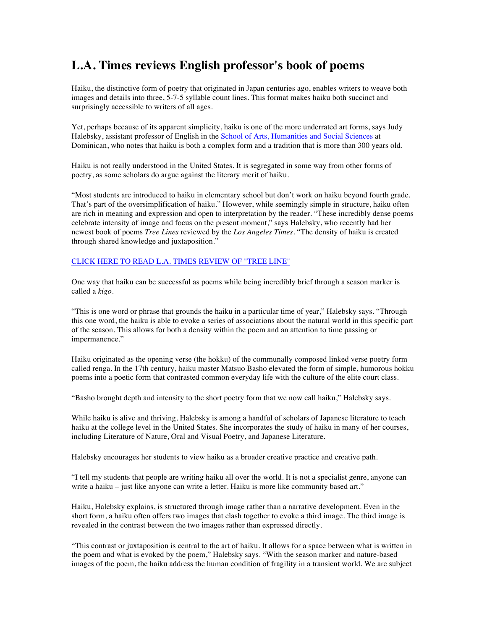## **L.A. Times reviews English professor's book of poems**

Haiku, the distinctive form of poetry that originated in Japan centuries ago, enables writers to weave both images and details into three, 5-7-5 syllable count lines. This format makes haiku both succinct and surprisingly accessible to writers of all ages.

Yet, perhaps because of its apparent simplicity, haiku is one of the more underrated art forms, says Judy Halebsky, assistant professor of English in the School of Arts, Humanities and Social Sciences at Dominican, who notes that haiku is both a complex form and a tradition that is more than 300 years old.

Haiku is not really understood in the United States. It is segregated in some way from other forms of poetry, as some scholars do argue against the literary merit of haiku.

"Most students are introduced to haiku in elementary school but don't work on haiku beyond fourth grade. That's part of the oversimplification of haiku." However, while seemingly simple in structure, haiku often are rich in meaning and expression and open to interpretation by the reader. "These incredibly dense poems celebrate intensity of image and focus on the present moment," says Halebsky, who recently had her newest book of poems *Tree Lines* reviewed by the *Los Angeles Times*. "The density of haiku is created through shared knowledge and juxtaposition."

#### CLICK HERE TO READ L.A. TIMES REVIEW OF "TREE LINE"

One way that haiku can be successful as poems while being incredibly brief through a season marker is called a *kigo*.

"This is one word or phrase that grounds the haiku in a particular time of year," Halebsky says. "Through this one word, the haiku is able to evoke a series of associations about the natural world in this specific part of the season. This allows for both a density within the poem and an attention to time passing or impermanence."

Haiku originated as the opening verse (the hokku) of the communally composed linked verse poetry form called renga. In the 17th century, haiku master Matsuo Basho elevated the form of simple, humorous hokku poems into a poetic form that contrasted common everyday life with the culture of the elite court class.

"Basho brought depth and intensity to the short poetry form that we now call haiku," Halebsky says.

While haiku is alive and thriving, Halebsky is among a handful of scholars of Japanese literature to teach haiku at the college level in the United States. She incorporates the study of haiku in many of her courses, including Literature of Nature, Oral and Visual Poetry, and Japanese Literature.

Halebsky encourages her students to view haiku as a broader creative practice and creative path.

"I tell my students that people are writing haiku all over the world. It is not a specialist genre, anyone can write a haiku – just like anyone can write a letter. Haiku is more like community based art."

Haiku, Halebsky explains, is structured through image rather than a narrative development. Even in the short form, a haiku often offers two images that clash together to evoke a third image. The third image is revealed in the contrast between the two images rather than expressed directly.

"This contrast or juxtaposition is central to the art of haiku. It allows for a space between what is written in the poem and what is evoked by the poem," Halebsky says. "With the season marker and nature-based images of the poem, the haiku address the human condition of fragility in a transient world. We are subject